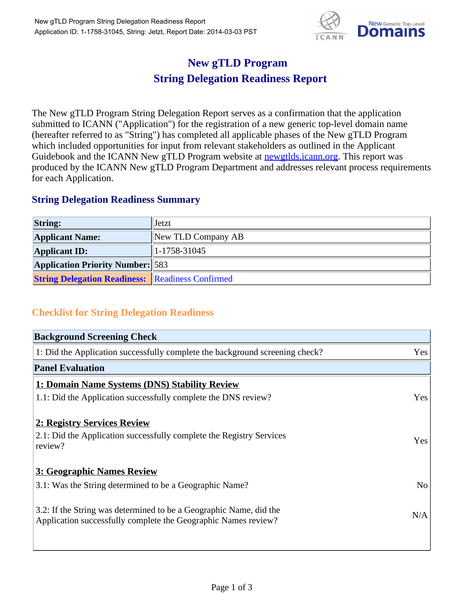

## **New gTLD Program String Delegation Readiness Report**

The New gTLD Program String Delegation Report serves as a confirmation that the application submitted to ICANN ("Application") for the registration of a new generic top-level domain name (hereafter referred to as "String") has completed all applicable phases of the New gTLD Program which included opportunities for input from relevant stakeholders as outlined in the Applicant Guidebook and the ICANN New gTLD Program website at newgtlds.icann.org. This report was produced by the ICANN New gTLD Program Department and addresses relevant process requirements for each Application.

## **String Delegation Readiness Summary**

| <b>String:</b>                                          | Jetzt                    |
|---------------------------------------------------------|--------------------------|
| <b>Applicant Name:</b>                                  | New TLD Company AB       |
| <b>Applicant ID:</b>                                    | $\parallel$ 1-1758-31045 |
| <b>Application Priority Number:</b> 583                 |                          |
| <b>String Delegation Readiness: Readiness Confirmed</b> |                          |

## **Checklist for String Delegation Readiness**

| <b>Background Screening Check</b>                                                                                                    |                |
|--------------------------------------------------------------------------------------------------------------------------------------|----------------|
| 1: Did the Application successfully complete the background screening check?                                                         | Yes            |
| <b>Panel Evaluation</b>                                                                                                              |                |
| 1: Domain Name Systems (DNS) Stability Review                                                                                        |                |
| 1.1: Did the Application successfully complete the DNS review?                                                                       | Yes            |
| 2: Registry Services Review                                                                                                          |                |
| 2.1: Did the Application successfully complete the Registry Services<br>review?                                                      | Yes            |
| 3: Geographic Names Review                                                                                                           |                |
| 3.1: Was the String determined to be a Geographic Name?                                                                              | N <sub>o</sub> |
| 3.2: If the String was determined to be a Geographic Name, did the<br>Application successfully complete the Geographic Names review? | N/A            |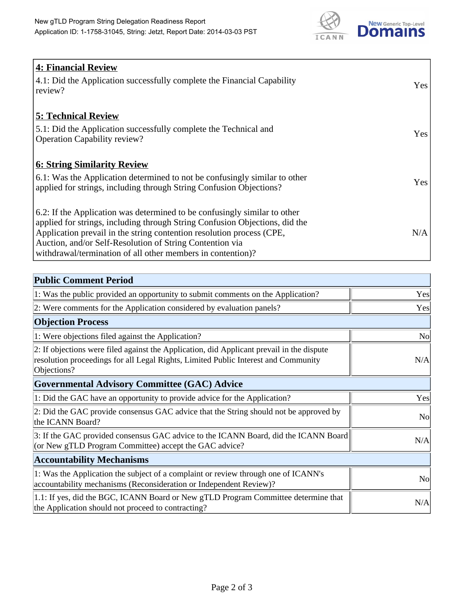

| 4: Financial Review                                                                |            |
|------------------------------------------------------------------------------------|------------|
| $\vert$ 4.1: Did the Application successfully complete the Financial Capability    | Yes        |
| review?                                                                            |            |
| <b>5: Technical Review</b>                                                         |            |
| 5.1: Did the Application successfully complete the Technical and                   | <b>Yes</b> |
| <b>Operation Capability review?</b>                                                |            |
|                                                                                    |            |
| <b>6: String Similarity Review</b>                                                 |            |
| $\vert$ 6.1: Was the Application determined to not be confusingly similar to other | Yes        |
| applied for strings, including through String Confusion Objections?                |            |
| 6.2: If the Application was determined to be confusingly similar to other          |            |
| applied for strings, including through String Confusion Objections, did the        |            |
| Application prevail in the string contention resolution process (CPE,              | N/A        |
| Auction, and/or Self-Resolution of String Contention via                           |            |
| withdrawal/termination of all other members in contention)?                        |            |

| <b>Public Comment Period</b>                                                                                                                                                                   |                |
|------------------------------------------------------------------------------------------------------------------------------------------------------------------------------------------------|----------------|
| 1: Was the public provided an opportunity to submit comments on the Application?                                                                                                               | Yes            |
| 2: Were comments for the Application considered by evaluation panels?                                                                                                                          | Yes            |
| <b>Objection Process</b>                                                                                                                                                                       |                |
| 1: Were objections filed against the Application?                                                                                                                                              | <b>No</b>      |
| 2: If objections were filed against the Application, did Applicant prevail in the dispute<br>resolution proceedings for all Legal Rights, Limited Public Interest and Community<br>Objections? | N/A            |
| Governmental Advisory Committee (GAC) Advice                                                                                                                                                   |                |
| 1: Did the GAC have an opportunity to provide advice for the Application?                                                                                                                      | Yes            |
| 2: Did the GAC provide consensus GAC advice that the String should not be approved by<br>the ICANN Board?                                                                                      | N <sub>o</sub> |
| 3: If the GAC provided consensus GAC advice to the ICANN Board, did the ICANN Board<br>(or New gTLD Program Committee) accept the GAC advice?                                                  | N/A            |
| <b>Accountability Mechanisms</b>                                                                                                                                                               |                |
| 1: Was the Application the subject of a complaint or review through one of ICANN's<br>accountability mechanisms (Reconsideration or Independent Review)?                                       | <b>No</b>      |
| 1.1: If yes, did the BGC, ICANN Board or New gTLD Program Committee determine that<br>the Application should not proceed to contracting?                                                       | N/A            |